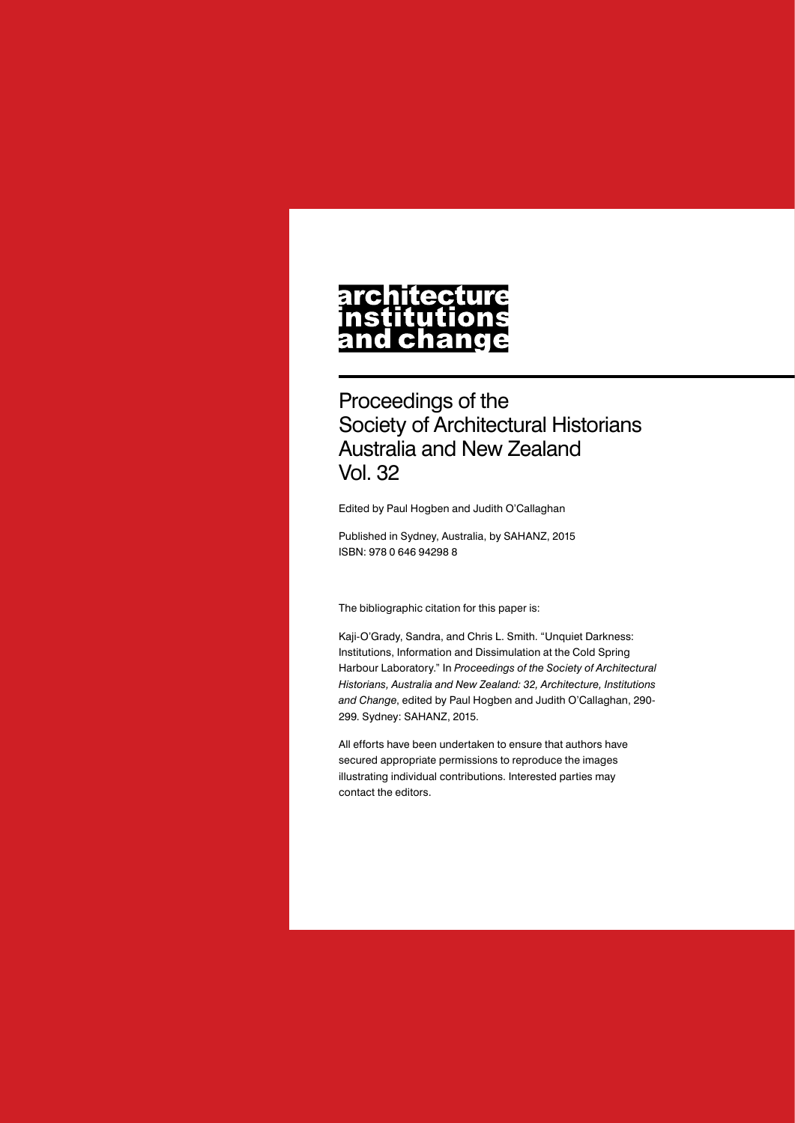# architecture nstitutions<br>and change

Proceedings of the Society of Architectural Historians Australia and New Zealand Vol. 32

Edited by Paul Hogben and Judith O'Callaghan

Published in Sydney, Australia, by SAHANZ, 2015 ISBN: 978 0 646 94298 8

The bibliographic citation for this paper is:

Kaji-O'Grady, Sandra, and Chris L. Smith. "Unquiet Darkness: Institutions, Information and Dissimulation at the Cold Spring Harbour Laboratory." In *Proceedings of the Society of Architectural Historians, Australia and New Zealand: 32, Architecture, Institutions and Change*, edited by Paul Hogben and Judith O'Callaghan, 290- 299. Sydney: SAHANZ, 2015.

All efforts have been undertaken to ensure that authors have secured appropriate permissions to reproduce the images illustrating individual contributions. Interested parties may contact the editors.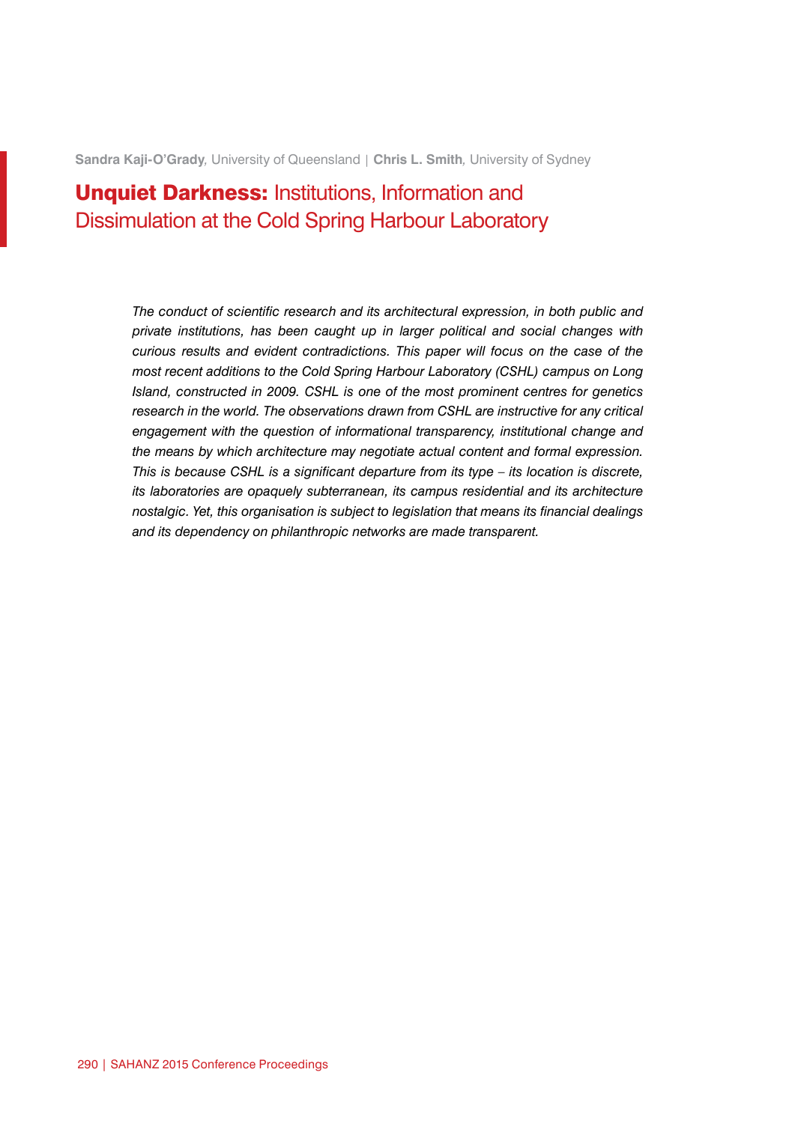**Sandra Kaji-O'Grady***,* University of Queensland | **Chris L. Smith***,* University of Sydney

## **Unquiet Darkness: Institutions, Information and** Dissimulation at the Cold Spring Harbour Laboratory

*The conduct of scientific research and its architectural expression, in both public and private institutions, has been caught up in larger political and social changes with curious results and evident contradictions. This paper will focus on the case of the most recent additions to the Cold Spring Harbour Laboratory (CSHL) campus on Long Island, constructed in 2009. CSHL is one of the most prominent centres for genetics research in the world. The observations drawn from CSHL are instructive for any critical engagement with the question of informational transparency, institutional change and the means by which architecture may negotiate actual content and formal expression. This is because CSHL is a significant departure from its type – its location is discrete, its laboratories are opaquely subterranean, its campus residential and its architecture nostalgic. Yet, this organisation is subject to legislation that means its financial dealings and its dependency on philanthropic networks are made transparent.*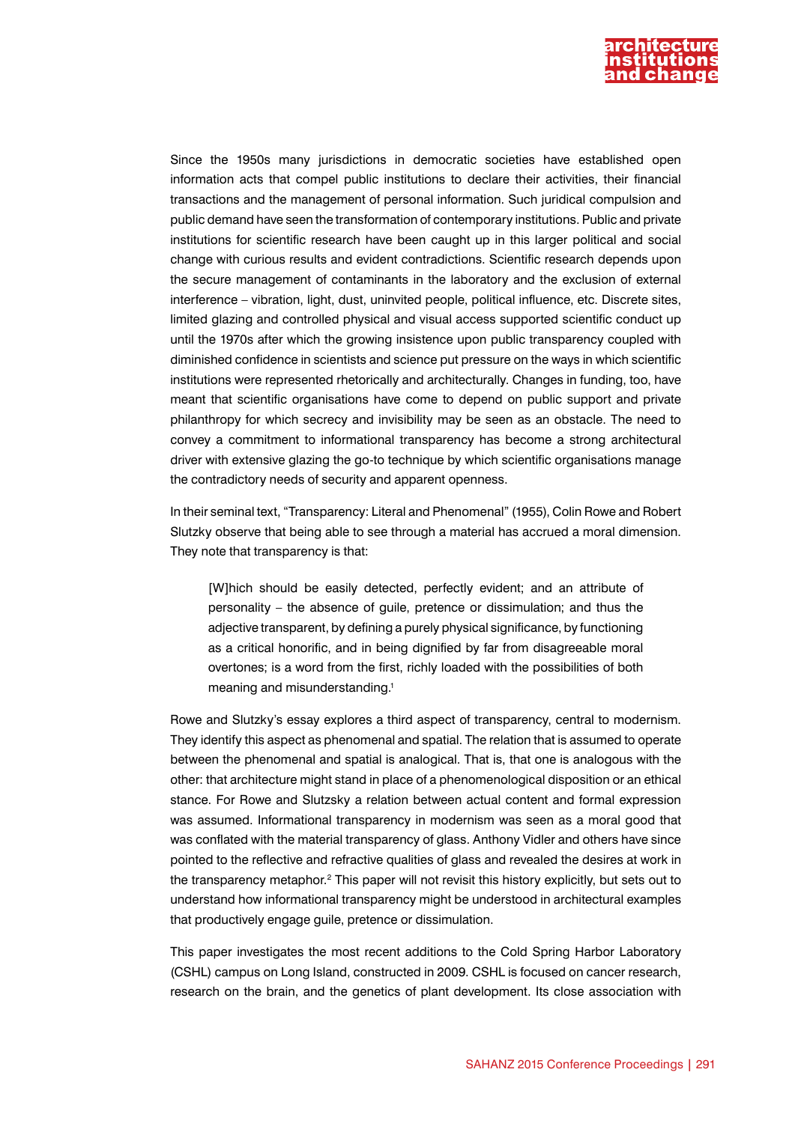

Since the 1950s many jurisdictions in democratic societies have established open information acts that compel public institutions to declare their activities, their financial transactions and the management of personal information. Such juridical compulsion and public demand have seen the transformation of contemporary institutions. Public and private institutions for scientific research have been caught up in this larger political and social change with curious results and evident contradictions. Scientific research depends upon the secure management of contaminants in the laboratory and the exclusion of external interference – vibration, light, dust, uninvited people, political influence, etc. Discrete sites, limited glazing and controlled physical and visual access supported scientific conduct up until the 1970s after which the growing insistence upon public transparency coupled with diminished confidence in scientists and science put pressure on the ways in which scientific institutions were represented rhetorically and architecturally. Changes in funding, too, have meant that scientific organisations have come to depend on public support and private philanthropy for which secrecy and invisibility may be seen as an obstacle. The need to convey a commitment to informational transparency has become a strong architectural driver with extensive glazing the go-to technique by which scientific organisations manage the contradictory needs of security and apparent openness.

In their seminal text, "Transparency: Literal and Phenomenal" (1955), Colin Rowe and Robert Slutzky observe that being able to see through a material has accrued a moral dimension. They note that transparency is that:

[W]hich should be easily detected, perfectly evident; and an attribute of personality – the absence of guile, pretence or dissimulation; and thus the adjective transparent, by defining a purely physical significance, by functioning as a critical honorific, and in being dignified by far from disagreeable moral overtones; is a word from the first, richly loaded with the possibilities of both meaning and misunderstanding.<sup>1</sup>

Rowe and Slutzky's essay explores a third aspect of transparency, central to modernism. They identify this aspect as phenomenal and spatial. The relation that is assumed to operate between the phenomenal and spatial is analogical. That is, that one is analogous with the other: that architecture might stand in place of a phenomenological disposition or an ethical stance. For Rowe and Slutzsky a relation between actual content and formal expression was assumed. Informational transparency in modernism was seen as a moral good that was conflated with the material transparency of glass. Anthony Vidler and others have since pointed to the reflective and refractive qualities of glass and revealed the desires at work in the transparency metaphor.<sup>2</sup> This paper will not revisit this history explicitly, but sets out to understand how informational transparency might be understood in architectural examples that productively engage guile, pretence or dissimulation.

This paper investigates the most recent additions to the Cold Spring Harbor Laboratory (CSHL) campus on Long Island, constructed in 2009. CSHL is focused on cancer research, research on the brain, and the genetics of plant development. Its close association with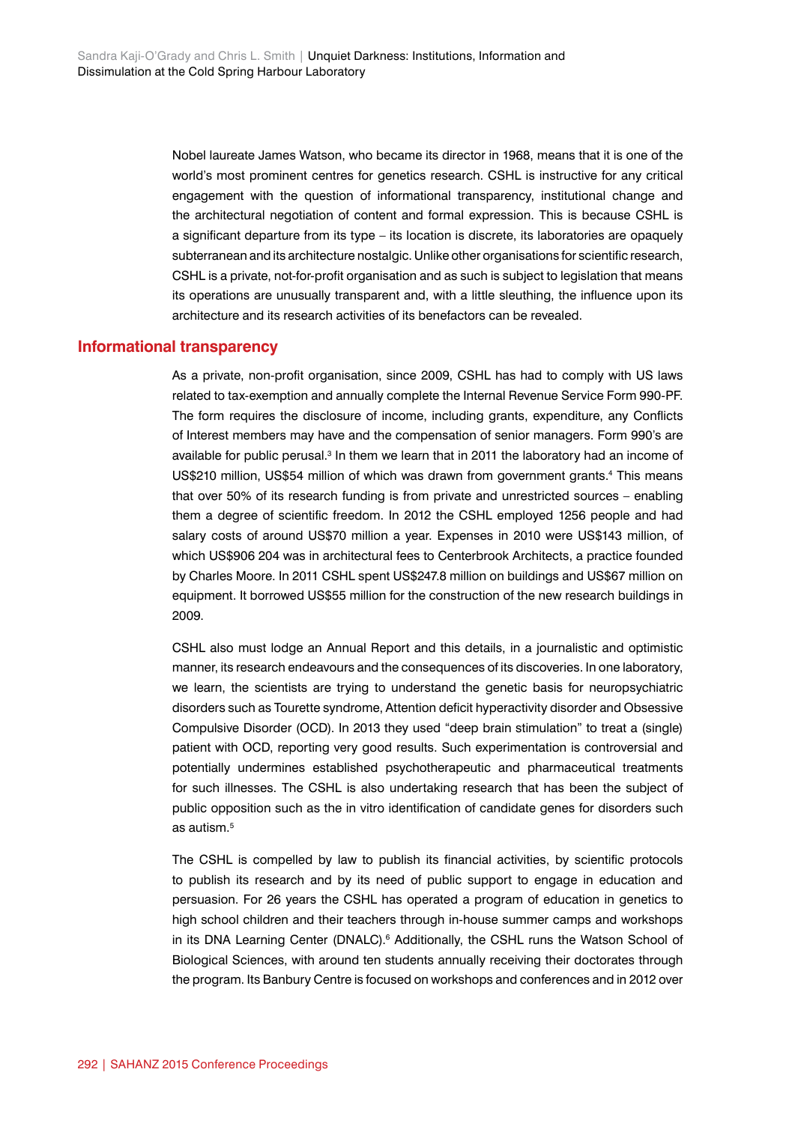Nobel laureate James Watson, who became its director in 1968, means that it is one of the world's most prominent centres for genetics research. CSHL is instructive for any critical engagement with the question of informational transparency, institutional change and the architectural negotiation of content and formal expression. This is because CSHL is a significant departure from its type – its location is discrete, its laboratories are opaquely subterranean and its architecture nostalgic. Unlike other organisations for scientific research, CSHL is a private, not-for-profit organisation and as such is subject to legislation that means its operations are unusually transparent and, with a little sleuthing, the influence upon its architecture and its research activities of its benefactors can be revealed.

#### **Informational transparency**

As a private, non-profit organisation, since 2009, CSHL has had to comply with US laws related to tax-exemption and annually complete the Internal Revenue Service Form 990-PF. The form requires the disclosure of income, including grants, expenditure, any Conflicts of Interest members may have and the compensation of senior managers. Form 990's are available for public perusal.<sup>3</sup> In them we learn that in 2011 the laboratory had an income of US\$210 million, US\$54 million of which was drawn from government grants.<sup>4</sup> This means that over 50% of its research funding is from private and unrestricted sources – enabling them a degree of scientific freedom. In 2012 the CSHL employed 1256 people and had salary costs of around US\$70 million a year. Expenses in 2010 were US\$143 million, of which US\$906 204 was in architectural fees to Centerbrook Architects, a practice founded by Charles Moore. In 2011 CSHL spent US\$247.8 million on buildings and US\$67 million on equipment. It borrowed US\$55 million for the construction of the new research buildings in 2009.

CSHL also must lodge an Annual Report and this details, in a journalistic and optimistic manner, its research endeavours and the consequences of its discoveries. In one laboratory, we learn, the scientists are trying to understand the genetic basis for neuropsychiatric disorders such as Tourette syndrome, Attention deficit hyperactivity disorder and Obsessive Compulsive Disorder (OCD). In 2013 they used "deep brain stimulation" to treat a (single) patient with OCD, reporting very good results. Such experimentation is controversial and potentially undermines established psychotherapeutic and pharmaceutical treatments for such illnesses. The CSHL is also undertaking research that has been the subject of public opposition such as the in vitro identification of candidate genes for disorders such as autism $<sup>5</sup>$ </sup>

The CSHL is compelled by law to publish its financial activities, by scientific protocols to publish its research and by its need of public support to engage in education and persuasion. For 26 years the CSHL has operated a program of education in genetics to high school children and their teachers through in-house summer camps and workshops in its DNA Learning Center (DNALC).<sup>6</sup> Additionally, the CSHL runs the Watson School of Biological Sciences, with around ten students annually receiving their doctorates through the program. Its Banbury Centre is focused on workshops and conferences and in 2012 over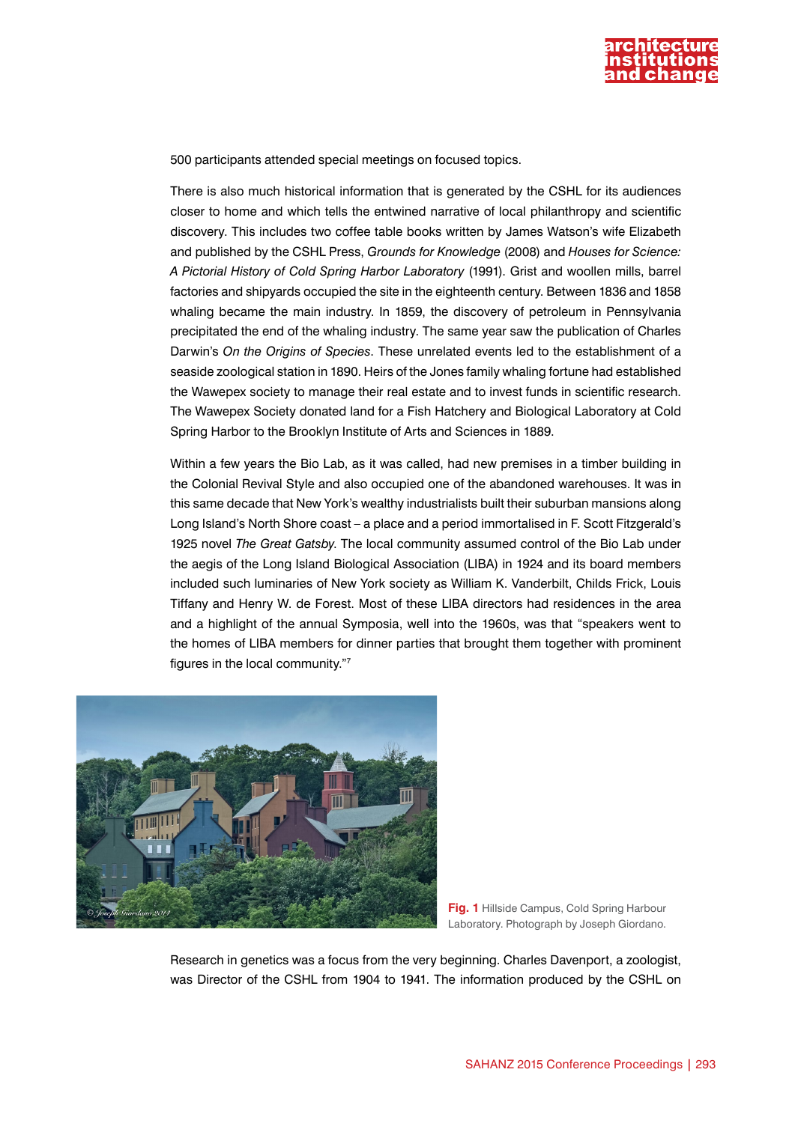

500 participants attended special meetings on focused topics.

There is also much historical information that is generated by the CSHL for its audiences closer to home and which tells the entwined narrative of local philanthropy and scientific discovery. This includes two coffee table books written by James Watson's wife Elizabeth and published by the CSHL Press, *Grounds for Knowledge* (2008) and *Houses for Science: A Pictorial History of Cold Spring Harbor Laboratory* (1991). Grist and woollen mills, barrel factories and shipyards occupied the site in the eighteenth century. Between 1836 and 1858 whaling became the main industry. In 1859, the discovery of petroleum in Pennsylvania precipitated the end of the whaling industry. The same year saw the publication of Charles Darwin's *On the Origins of Species*. These unrelated events led to the establishment of a seaside zoological station in 1890. Heirs of the Jones family whaling fortune had established the Wawepex society to manage their real estate and to invest funds in scientific research. The Wawepex Society donated land for a Fish Hatchery and Biological Laboratory at Cold Spring Harbor to the Brooklyn Institute of Arts and Sciences in 1889.

Within a few years the Bio Lab, as it was called, had new premises in a timber building in the Colonial Revival Style and also occupied one of the abandoned warehouses. It was in this same decade that New York's wealthy industrialists built their suburban mansions along Long Island's North Shore coast – a place and a period immortalised in F. Scott Fitzgerald's 1925 novel *The Great Gatsby*. The local community assumed control of the Bio Lab under the aegis of the Long Island Biological Association (LIBA) in 1924 and its board members included such luminaries of New York society as William K. Vanderbilt, Childs Frick, Louis Tiffany and Henry W. de Forest. Most of these LIBA directors had residences in the area and a highlight of the annual Symposia, well into the 1960s, was that "speakers went to the homes of LIBA members for dinner parties that brought them together with prominent figures in the local community."7



**Fig. 1** Hillside Campus, Cold Spring Harbour Laboratory. Photograph by Joseph Giordano.

Research in genetics was a focus from the very beginning. Charles Davenport, a zoologist, was Director of the CSHL from 1904 to 1941. The information produced by the CSHL on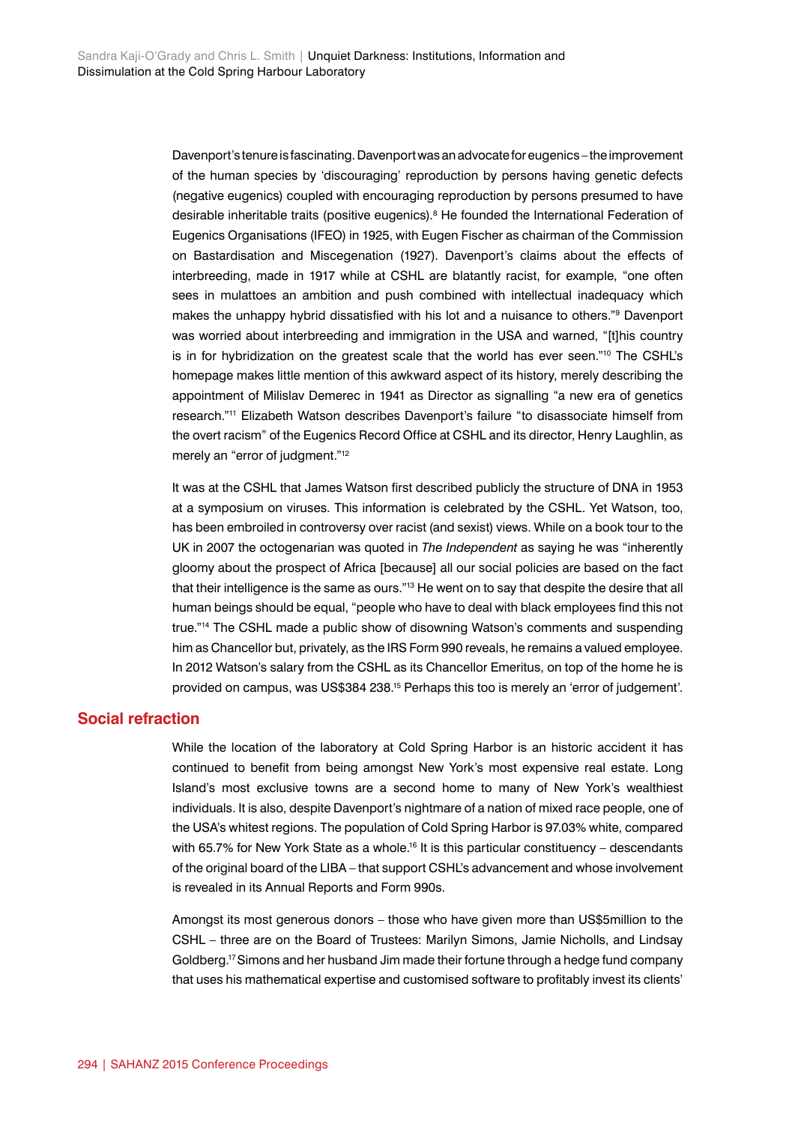Davenport's tenure is fascinating. Davenport was an advocate for eugenics – the improvement of the human species by 'discouraging' reproduction by persons having genetic defects (negative eugenics) coupled with encouraging reproduction by persons presumed to have desirable inheritable traits (positive eugenics).8 He founded the International Federation of Eugenics Organisations (IFEO) in 1925, with Eugen Fischer as chairman of the Commission on Bastardisation and Miscegenation (1927). Davenport's claims about the effects of interbreeding, made in 1917 while at CSHL are blatantly racist, for example, "one often sees in mulattoes an ambition and push combined with intellectual inadequacy which makes the unhappy hybrid dissatisfied with his lot and a nuisance to others."9 Davenport was worried about interbreeding and immigration in the USA and warned, "[t]his country is in for hybridization on the greatest scale that the world has ever seen."<sup>10</sup> The CSHL's homepage makes little mention of this awkward aspect of its history, merely describing the appointment of Milislav Demerec in 1941 as Director as signalling "a new era of genetics research."11 Elizabeth Watson describes Davenport's failure "to disassociate himself from the overt racism" of the Eugenics Record Office at CSHL and its director, Henry Laughlin, as merely an "error of judgment."12

It was at the CSHL that James Watson first described publicly the structure of DNA in 1953 at a symposium on viruses. This information is celebrated by the CSHL. Yet Watson, too, has been embroiled in controversy over racist (and sexist) views. While on a book tour to the UK in 2007 the octogenarian was quoted in *The Independent* as saying he was "inherently gloomy about the prospect of Africa [because] all our social policies are based on the fact that their intelligence is the same as ours."<sup>13</sup> He went on to say that despite the desire that all human beings should be equal, "people who have to deal with black employees find this not true."<sup>14</sup> The CSHL made a public show of disowning Watson's comments and suspending him as Chancellor but, privately, as the IRS Form 990 reveals, he remains a valued employee. In 2012 Watson's salary from the CSHL as its Chancellor Emeritus, on top of the home he is provided on campus, was US\$384 238.15 Perhaps this too is merely an 'error of judgement'.

### **Social refraction**

While the location of the laboratory at Cold Spring Harbor is an historic accident it has continued to benefit from being amongst New York's most expensive real estate. Long Island's most exclusive towns are a second home to many of New York's wealthiest individuals. It is also, despite Davenport's nightmare of a nation of mixed race people, one of the USA's whitest regions. The population of Cold Spring Harbor is 97.03% white, compared with 65.7% for New York State as a whole.<sup>16</sup> It is this particular constituency – descendants of the original board of the LIBA – that support CSHL's advancement and whose involvement is revealed in its Annual Reports and Form 990s.

Amongst its most generous donors – those who have given more than US\$5million to the CSHL – three are on the Board of Trustees: Marilyn Simons, Jamie Nicholls, and Lindsay Goldberg.17 Simons and her husband Jim made their fortune through a hedge fund company that uses his mathematical expertise and customised software to profitably invest its clients'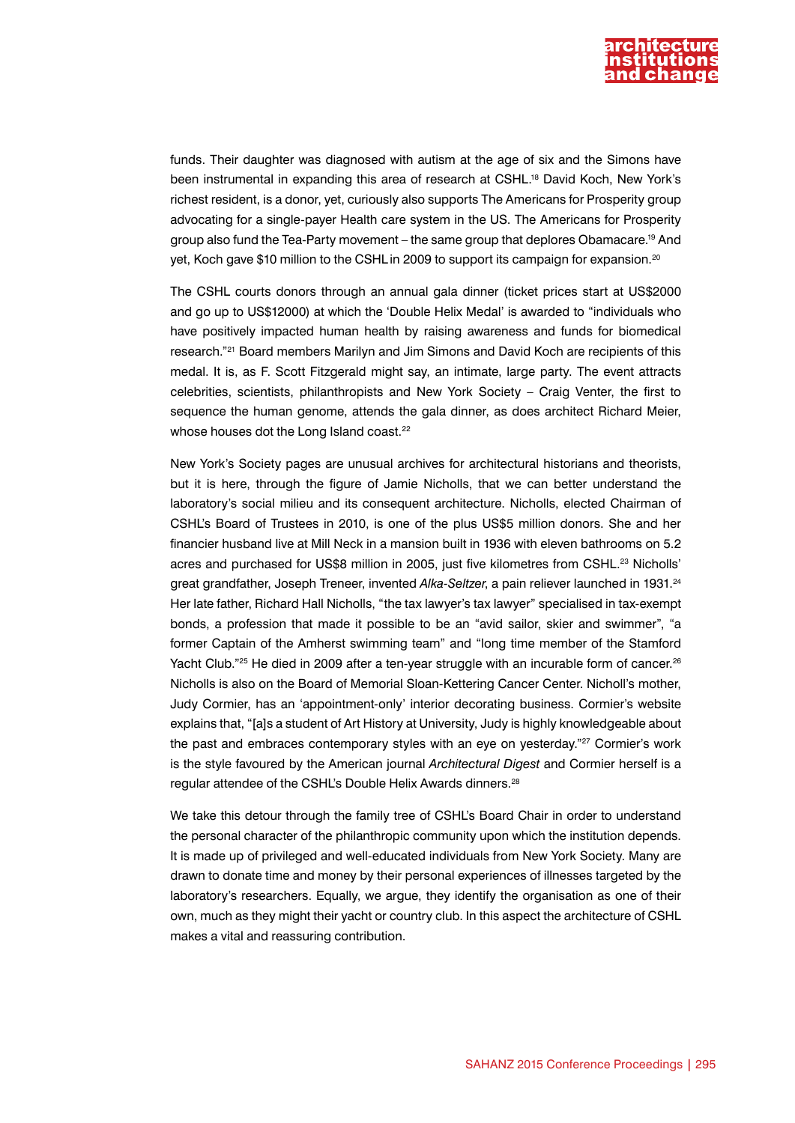

funds. Their daughter was diagnosed with autism at the age of six and the Simons have been instrumental in expanding this area of research at CSHL.18 David Koch, New York's richest resident, is a donor, yet, curiously also supports The Americans for Prosperity group advocating for a single-payer Health care system in the US. The Americans for Prosperity group also fund the Tea-Party movement – the same group that deplores Obamacare.19 And yet, Koch gave \$10 million to the CSHL in 2009 to support its campaign for expansion.<sup>20</sup>

The CSHL courts donors through an annual gala dinner (ticket prices start at US\$2000 and go up to US\$12000) at which the 'Double Helix Medal' is awarded to "individuals who have positively impacted human health by raising awareness and funds for biomedical research."21 Board members Marilyn and Jim Simons and David Koch are recipients of this medal. It is, as F. Scott Fitzgerald might say, an intimate, large party. The event attracts celebrities, scientists, philanthropists and New York Society – Craig Venter, the first to sequence the human genome, attends the gala dinner, as does architect Richard Meier, whose houses dot the Long Island coast.<sup>22</sup>

New York's Society pages are unusual archives for architectural historians and theorists, but it is here, through the figure of Jamie Nicholls, that we can better understand the laboratory's social milieu and its consequent architecture. Nicholls, elected Chairman of CSHL's Board of Trustees in 2010, is one of the plus US\$5 million donors. She and her financier husband live at Mill Neck in a mansion built in 1936 with eleven bathrooms on 5.2 acres and purchased for US\$8 million in 2005, just five kilometres from CSHL.<sup>23</sup> Nicholls' great grandfather, Joseph Treneer, invented *Alka-Seltzer*, a pain reliever launched in 1931.24 Her late father, Richard Hall Nicholls, "the tax lawyer's tax lawyer" specialised in tax-exempt bonds, a profession that made it possible to be an "avid sailor, skier and swimmer", "a former Captain of the Amherst swimming team" and "long time member of the Stamford Yacht Club."<sup>25</sup> He died in 2009 after a ten-year struggle with an incurable form of cancer.<sup>26</sup> Nicholls is also on the Board of Memorial Sloan-Kettering Cancer Center. Nicholl's mother, Judy Cormier, has an 'appointment-only' interior decorating business. Cormier's website explains that, "[a]s a student of Art History at University, Judy is highly knowledgeable about the past and embraces contemporary styles with an eye on yesterday."27 Cormier's work is the style favoured by the American journal *Architectural Digest* and Cormier herself is a regular attendee of the CSHL's Double Helix Awards dinners.28

We take this detour through the family tree of CSHL's Board Chair in order to understand the personal character of the philanthropic community upon which the institution depends. It is made up of privileged and well-educated individuals from New York Society. Many are drawn to donate time and money by their personal experiences of illnesses targeted by the laboratory's researchers. Equally, we argue, they identify the organisation as one of their own, much as they might their yacht or country club. In this aspect the architecture of CSHL makes a vital and reassuring contribution.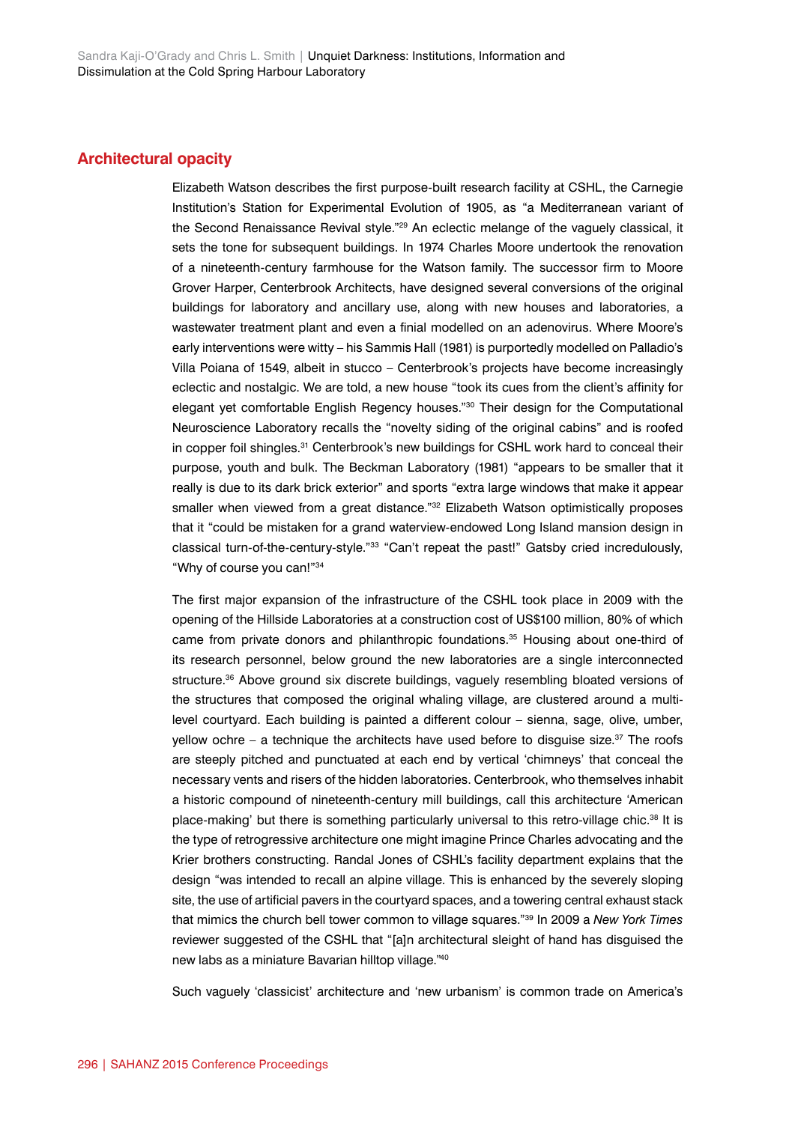#### **Architectural opacity**

Elizabeth Watson describes the first purpose-built research facility at CSHL, the Carnegie Institution's Station for Experimental Evolution of 1905, as "a Mediterranean variant of the Second Renaissance Revival style."29 An eclectic melange of the vaguely classical, it sets the tone for subsequent buildings. In 1974 Charles Moore undertook the renovation of a nineteenth-century farmhouse for the Watson family. The successor firm to Moore Grover Harper, Centerbrook Architects, have designed several conversions of the original buildings for laboratory and ancillary use, along with new houses and laboratories, a wastewater treatment plant and even a finial modelled on an adenovirus. Where Moore's early interventions were witty – his Sammis Hall (1981) is purportedly modelled on Palladio's Villa Poiana of 1549, albeit in stucco – Centerbrook's projects have become increasingly eclectic and nostalgic. We are told, a new house "took its cues from the client's affinity for elegant yet comfortable English Regency houses."30 Their design for the Computational Neuroscience Laboratory recalls the "novelty siding of the original cabins" and is roofed in copper foil shingles.31 Centerbrook's new buildings for CSHL work hard to conceal their purpose, youth and bulk. The Beckman Laboratory (1981) "appears to be smaller that it really is due to its dark brick exterior" and sports "extra large windows that make it appear smaller when viewed from a great distance."<sup>32</sup> Elizabeth Watson optimistically proposes that it "could be mistaken for a grand waterview-endowed Long Island mansion design in classical turn-of-the-century-style."33 "Can't repeat the past!" Gatsby cried incredulously, "Why of course you can!"34

The first major expansion of the infrastructure of the CSHL took place in 2009 with the opening of the Hillside Laboratories at a construction cost of US\$100 million, 80% of which came from private donors and philanthropic foundations.<sup>35</sup> Housing about one-third of its research personnel, below ground the new laboratories are a single interconnected structure.<sup>36</sup> Above ground six discrete buildings, vaguely resembling bloated versions of the structures that composed the original whaling village, are clustered around a multilevel courtyard. Each building is painted a different colour – sienna, sage, olive, umber, vellow ochre – a technique the architects have used before to disquise size.<sup>37</sup> The roofs are steeply pitched and punctuated at each end by vertical 'chimneys' that conceal the necessary vents and risers of the hidden laboratories. Centerbrook, who themselves inhabit a historic compound of nineteenth-century mill buildings, call this architecture 'American place-making' but there is something particularly universal to this retro-village chic.<sup>38</sup> It is the type of retrogressive architecture one might imagine Prince Charles advocating and the Krier brothers constructing. Randal Jones of CSHL's facility department explains that the design "was intended to recall an alpine village. This is enhanced by the severely sloping site, the use of artificial pavers in the courtyard spaces, and a towering central exhaust stack that mimics the church bell tower common to village squares."39 In 2009 a *New York Times* reviewer suggested of the CSHL that "[a]n architectural sleight of hand has disguised the new labs as a miniature Bavarian hilltop village."40

Such vaguely 'classicist' architecture and 'new urbanism' is common trade on America's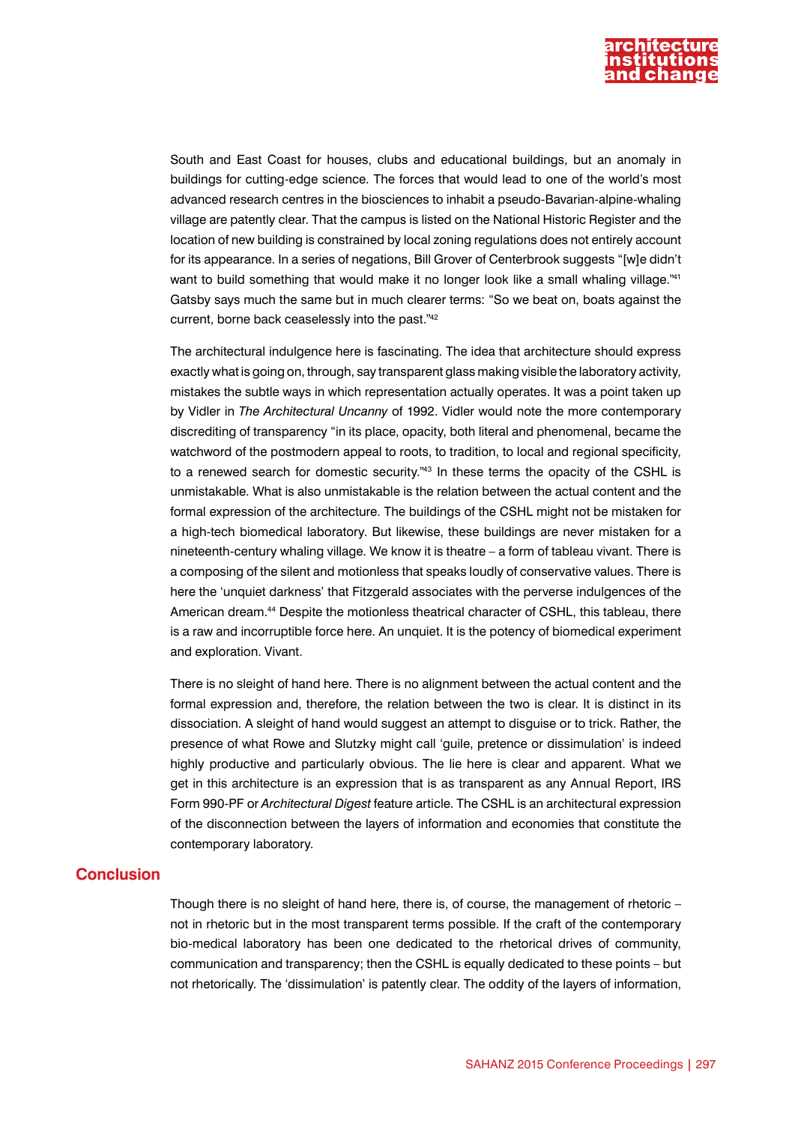

South and East Coast for houses, clubs and educational buildings, but an anomaly in buildings for cutting-edge science. The forces that would lead to one of the world's most advanced research centres in the biosciences to inhabit a pseudo-Bavarian-alpine-whaling village are patently clear. That the campus is listed on the National Historic Register and the location of new building is constrained by local zoning regulations does not entirely account for its appearance. In a series of negations, Bill Grover of Centerbrook suggests "[w]e didn't want to build something that would make it no longer look like a small whaling village."41 Gatsby says much the same but in much clearer terms: "So we beat on, boats against the current, borne back ceaselessly into the past."42

The architectural indulgence here is fascinating. The idea that architecture should express exactly what is going on, through, say transparent glass making visible the laboratory activity, mistakes the subtle ways in which representation actually operates. It was a point taken up by Vidler in *The Architectural Uncanny* of 1992. Vidler would note the more contemporary discrediting of transparency "in its place, opacity, both literal and phenomenal, became the watchword of the postmodern appeal to roots, to tradition, to local and regional specificity, to a renewed search for domestic security."43 In these terms the opacity of the CSHL is unmistakable. What is also unmistakable is the relation between the actual content and the formal expression of the architecture. The buildings of the CSHL might not be mistaken for a high-tech biomedical laboratory. But likewise, these buildings are never mistaken for a nineteenth-century whaling village. We know it is theatre – a form of tableau vivant. There is a composing of the silent and motionless that speaks loudly of conservative values. There is here the 'unquiet darkness' that Fitzgerald associates with the perverse indulgences of the American dream.44 Despite the motionless theatrical character of CSHL, this tableau, there is a raw and incorruptible force here. An unquiet. It is the potency of biomedical experiment and exploration. Vivant.

There is no sleight of hand here. There is no alignment between the actual content and the formal expression and, therefore, the relation between the two is clear. It is distinct in its dissociation. A sleight of hand would suggest an attempt to disguise or to trick. Rather, the presence of what Rowe and Slutzky might call 'guile, pretence or dissimulation' is indeed highly productive and particularly obvious. The lie here is clear and apparent. What we get in this architecture is an expression that is as transparent as any Annual Report, IRS Form 990-PF or *Architectural Digest* feature article. The CSHL is an architectural expression of the disconnection between the layers of information and economies that constitute the contemporary laboratory.

### **Conclusion**

Though there is no sleight of hand here, there is, of course, the management of rhetoric – not in rhetoric but in the most transparent terms possible. If the craft of the contemporary bio-medical laboratory has been one dedicated to the rhetorical drives of community, communication and transparency; then the CSHL is equally dedicated to these points – but not rhetorically. The 'dissimulation' is patently clear. The oddity of the layers of information,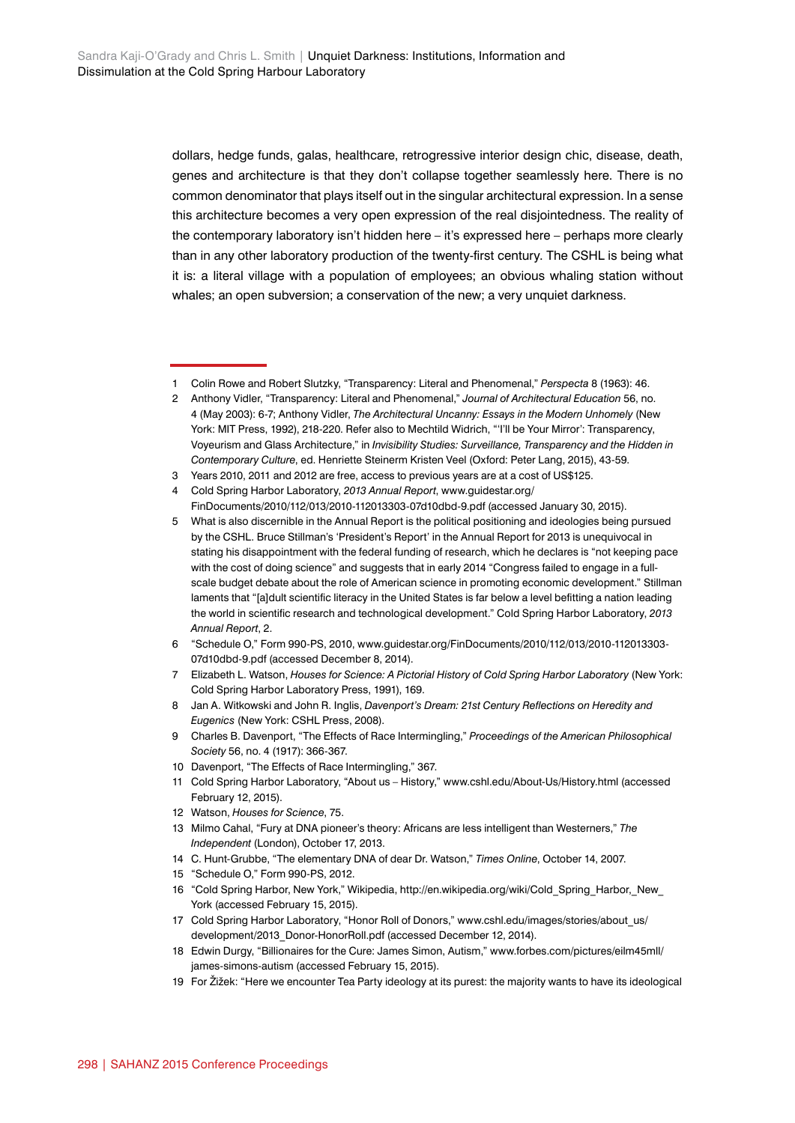dollars, hedge funds, galas, healthcare, retrogressive interior design chic, disease, death, genes and architecture is that they don't collapse together seamlessly here. There is no common denominator that plays itself out in the singular architectural expression. In a sense this architecture becomes a very open expression of the real disjointedness. The reality of the contemporary laboratory isn't hidden here – it's expressed here – perhaps more clearly than in any other laboratory production of the twenty-first century. The CSHL is being what it is: a literal village with a population of employees; an obvious whaling station without whales; an open subversion; a conservation of the new; a very unquiet darkness.

- 10 Davenport, "The Effects of Race Intermingling," 367.
- 11 Cold Spring Harbor Laboratory, "About us History," [www.cshl.edu/About-Us/History.html](http://www.cshl.edu/About-Us/History.html) (accessed February 12, 2015).
- 12 Watson, *Houses for Science*, 75.
- 13 Milmo Cahal, "Fury at DNA pioneer's theory: Africans are less intelligent than Westerners," *The Independent* (London), October 17, 2013.
- 14 C. Hunt-Grubbe, "The elementary DNA of dear Dr. Watson," *Times Online*, October 14, 2007.
- 15 "Schedule O," Form 990-PS, 2012.
- 16 "Cold Spring Harbor, New York," Wikipedia, [http://en.wikipedia.org/wiki/Cold\\_Spring\\_Harbor,\\_New\\_](http://en.wikipedia.org/wiki/Cold_Spring_Harbor,_New_York) [York](http://en.wikipedia.org/wiki/Cold_Spring_Harbor,_New_York) (accessed February 15, 2015).
- 17 Cold Spring Harbor Laboratory, "Honor Roll of Donors," [www.cshl.edu/images/stories/about\\_us/](http://www.cshl.edu/images/stories/about_us/development/2013_Donor-HonorRoll.pdf) [development/2013\\_Donor-HonorRoll.pdf](http://www.cshl.edu/images/stories/about_us/development/2013_Donor-HonorRoll.pdf) (accessed December 12, 2014).
- 18 Edwin Durgy, "Billionaires for the Cure: James Simon, Autism," [www.forbes.com/pictures/eilm45mll/](http://www.forbes.com/pictures/eilm45mll/james-simons-autism) [james-simons-autism](http://www.forbes.com/pictures/eilm45mll/james-simons-autism) (accessed February 15, 2015).
- 19 For Žižek: "Here we encounter Tea Party ideology at its purest: the majority wants to have its ideological

<sup>1</sup> Colin Rowe and Robert Slutzky, "Transparency: Literal and Phenomenal," *Perspecta* 8 (1963): 46.

<sup>2</sup> Anthony Vidler, "Transparency: Literal and Phenomenal," *Journal of Architectural Education* 56, no. 4 (May 2003): 6-7; Anthony Vidler, *The Architectural Uncanny: Essays in the Modern Unhomely* (New York: MIT Press, 1992), 218-220. Refer also to Mechtild Widrich, "'I'll be Your Mirror': Transparency, Voyeurism and Glass Architecture," in *Invisibility Studies: Surveillance, Transparency and the Hidden in Contemporary Culture*, ed. Henriette Steinerm Kristen Veel (Oxford: Peter Lang, 2015), 43-59.

<sup>3</sup> Years 2010, 2011 and 2012 are free, access to previous years are at a cost of US\$125.

<sup>4</sup> Cold Spring Harbor Laboratory, *2013 Annual Report*, [www.guidestar.org/](http://www.guidestar.org/FinDocuments/2010/112/013/2010-112013303-07d10dbd-9.pdf) [FinDocuments/2010/112/013/2010-112013303-07d10dbd-9.pdf](http://www.guidestar.org/FinDocuments/2010/112/013/2010-112013303-07d10dbd-9.pdf) (accessed January 30, 2015).

<sup>5</sup> What is also discernible in the Annual Report is the political positioning and ideologies being pursued by the CSHL. Bruce Stillman's 'President's Report' in the Annual Report for 2013 is unequivocal in stating his disappointment with the federal funding of research, which he declares is "not keeping pace with the cost of doing science" and suggests that in early 2014 "Congress failed to engage in a fullscale budget debate about the role of American science in promoting economic development." Stillman laments that "[a]dult scientific literacy in the United States is far below a level befitting a nation leading the world in scientific research and technological development." Cold Spring Harbor Laboratory, *2013 Annual Report*, 2.

<sup>6</sup> "Schedule O," Form 990-PS, 2010, [www.guidestar.org/FinDocuments/2010/112/013/2010-112013303-](http://www.guidestar.org/FinDocuments/2010/112/013/2010-112013303-07d10dbd-9.pdf) [07d10dbd-9.pdf](http://www.guidestar.org/FinDocuments/2010/112/013/2010-112013303-07d10dbd-9.pdf) (accessed December 8, 2014).

<sup>7</sup> Elizabeth L. Watson, *Houses for Science: A Pictorial History of Cold Spring Harbor Laboratory* (New York: Cold Spring Harbor Laboratory Press, 1991), 169.

<sup>8</sup> Jan A. Witkowski and John R. Inglis, *Davenport's Dream: 21st Century Reflections on Heredity and Eugenics* (New York: CSHL Press, 2008).

<sup>9</sup> Charles B. Davenport, "The Effects of Race Intermingling," *Proceedings of the American Philosophical Society* 56, no. 4 (1917): 366-367.